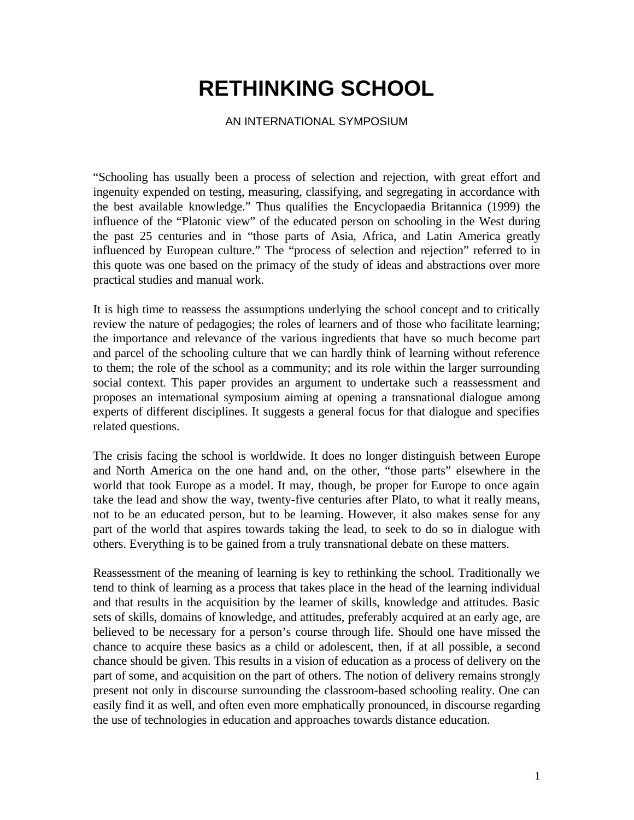# **RETHINKING SCHOOL**

#### AN INTERNATIONAL SYMPOSIUM

"Schooling has usually been a process of selection and rejection, with great effort and ingenuity expended on testing, measuring, classifying, and segregating in accordance with the best available knowledge." Thus qualifies the Encyclopaedia Britannica (1999) the influence of the "Platonic view" of the educated person on schooling in the West during the past 25 centuries and in "those parts of Asia, Africa, and Latin America greatly influenced by European culture." The "process of selection and rejection" referred to in this quote was one based on the primacy of the study of ideas and abstractions over more practical studies and manual work.

It is high time to reassess the assumptions underlying the school concept and to critically review the nature of pedagogies; the roles of learners and of those who facilitate learning; the importance and relevance of the various ingredients that have so much become part and parcel of the schooling culture that we can hardly think of learning without reference to them; the role of the school as a community; and its role within the larger surrounding social context. This paper provides an argument to undertake such a reassessment and proposes an international symposium aiming at opening a transnational dialogue among experts of different disciplines. It suggests a general focus for that dialogue and specifies related questions.

The crisis facing the school is worldwide. It does no longer distinguish between Europe and North America on the one hand and, on the other, "those parts" elsewhere in the world that took Europe as a model. It may, though, be proper for Europe to once again take the lead and show the way, twenty-five centuries after Plato, to what it really means, not to be an educated person, but to be learning. However, it also makes sense for any part of the world that aspires towards taking the lead, to seek to do so in dialogue with others. Everything is to be gained from a truly transnational debate on these matters.

Reassessment of the meaning of learning is key to rethinking the school. Traditionally we tend to think of learning as a process that takes place in the head of the learning individual and that results in the acquisition by the learner of skills, knowledge and attitudes. Basic sets of skills, domains of knowledge, and attitudes, preferably acquired at an early age, are believed to be necessary for a person's course through life. Should one have missed the chance to acquire these basics as a child or adolescent, then, if at all possible, a second chance should be given. This results in a vision of education as a process of delivery on the part of some, and acquisition on the part of others. The notion of delivery remains strongly present not only in discourse surrounding the classroom-based schooling reality. One can easily find it as well, and often even more emphatically pronounced, in discourse regarding the use of technologies in education and approaches towards distance education.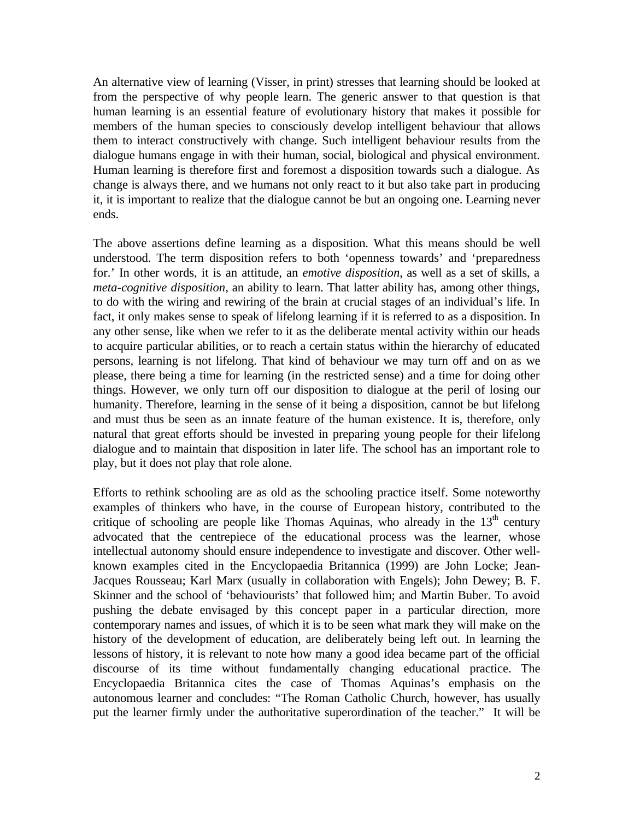An alternative view of learning (Visser, in print) stresses that learning should be looked at from the perspective of why people learn. The generic answer to that question is that human learning is an essential feature of evolutionary history that makes it possible for members of the human species to consciously develop intelligent behaviour that allows them to interact constructively with change. Such intelligent behaviour results from the dialogue humans engage in with their human, social, biological and physical environment. Human learning is therefore first and foremost a disposition towards such a dialogue. As change is always there, and we humans not only react to it but also take part in producing it, it is important to realize that the dialogue cannot be but an ongoing one. Learning never ends.

The above assertions define learning as a disposition. What this means should be well understood. The term disposition refers to both 'openness towards' and 'preparedness for.' In other words, it is an attitude, an *emotive disposition*, as well as a set of skills, a *meta-cognitive disposition*, an ability to learn. That latter ability has, among other things, to do with the wiring and rewiring of the brain at crucial stages of an individual's life. In fact, it only makes sense to speak of lifelong learning if it is referred to as a disposition. In any other sense, like when we refer to it as the deliberate mental activity within our heads to acquire particular abilities, or to reach a certain status within the hierarchy of educated persons, learning is not lifelong. That kind of behaviour we may turn off and on as we please, there being a time for learning (in the restricted sense) and a time for doing other things. However, we only turn off our disposition to dialogue at the peril of losing our humanity. Therefore, learning in the sense of it being a disposition, cannot be but lifelong and must thus be seen as an innate feature of the human existence. It is, therefore, only natural that great efforts should be invested in preparing young people for their lifelong dialogue and to maintain that disposition in later life. The school has an important role to play, but it does not play that role alone.

Efforts to rethink schooling are as old as the schooling practice itself. Some noteworthy examples of thinkers who have, in the course of European history, contributed to the critique of schooling are people like Thomas Aquinas, who already in the  $13<sup>th</sup>$  century advocated that the centrepiece of the educational process was the learner, whose intellectual autonomy should ensure independence to investigate and discover. Other wellknown examples cited in the Encyclopaedia Britannica (1999) are John Locke; Jean-Jacques Rousseau; Karl Marx (usually in collaboration with Engels); John Dewey; B. F. Skinner and the school of 'behaviourists' that followed him; and Martin Buber. To avoid pushing the debate envisaged by this concept paper in a particular direction, more contemporary names and issues, of which it is to be seen what mark they will make on the history of the development of education, are deliberately being left out. In learning the lessons of history, it is relevant to note how many a good idea became part of the official discourse of its time without fundamentally changing educational practice. The Encyclopaedia Britannica cites the case of Thomas Aquinas's emphasis on the autonomous learner and concludes: "The Roman Catholic Church, however, has usually put the learner firmly under the authoritative superordination of the teacher." It will be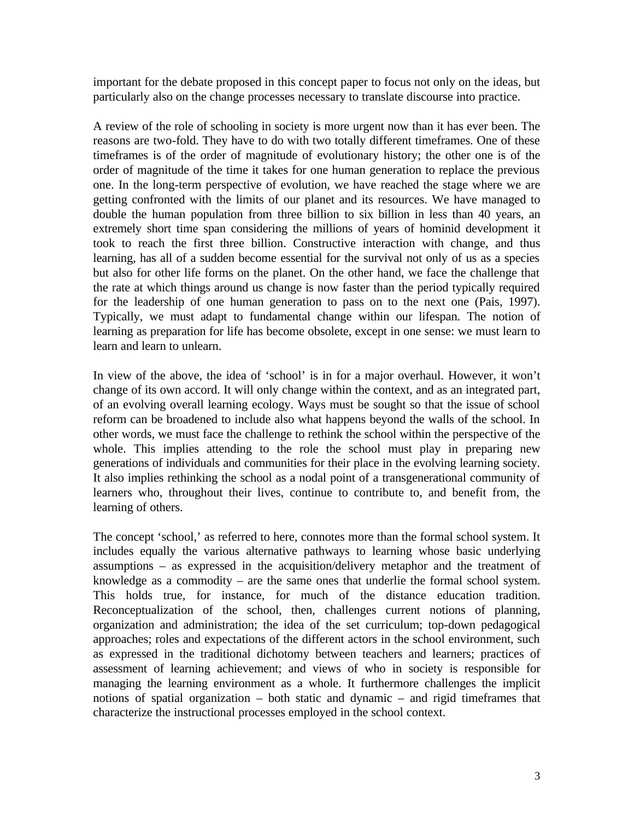important for the debate proposed in this concept paper to focus not only on the ideas, but particularly also on the change processes necessary to translate discourse into practice.

A review of the role of schooling in society is more urgent now than it has ever been. The reasons are two-fold. They have to do with two totally different timeframes. One of these timeframes is of the order of magnitude of evolutionary history; the other one is of the order of magnitude of the time it takes for one human generation to replace the previous one. In the long-term perspective of evolution, we have reached the stage where we are getting confronted with the limits of our planet and its resources. We have managed to double the human population from three billion to six billion in less than 40 years, an extremely short time span considering the millions of years of hominid development it took to reach the first three billion. Constructive interaction with change, and thus learning, has all of a sudden become essential for the survival not only of us as a species but also for other life forms on the planet. On the other hand, we face the challenge that the rate at which things around us change is now faster than the period typically required for the leadership of one human generation to pass on to the next one (Pais, 1997). Typically, we must adapt to fundamental change within our lifespan. The notion of learning as preparation for life has become obsolete, except in one sense: we must learn to learn and learn to unlearn.

In view of the above, the idea of 'school' is in for a major overhaul. However, it won't change of its own accord. It will only change within the context, and as an integrated part, of an evolving overall learning ecology. Ways must be sought so that the issue of school reform can be broadened to include also what happens beyond the walls of the school. In other words, we must face the challenge to rethink the school within the perspective of the whole. This implies attending to the role the school must play in preparing new generations of individuals and communities for their place in the evolving learning society. It also implies rethinking the school as a nodal point of a transgenerational community of learners who, throughout their lives, continue to contribute to, and benefit from, the learning of others.

The concept 'school,' as referred to here, connotes more than the formal school system. It includes equally the various alternative pathways to learning whose basic underlying assumptions – as expressed in the acquisition/delivery metaphor and the treatment of knowledge as a commodity – are the same ones that underlie the formal school system. This holds true, for instance, for much of the distance education tradition. Reconceptualization of the school, then, challenges current notions of planning, organization and administration; the idea of the set curriculum; top-down pedagogical approaches; roles and expectations of the different actors in the school environment, such as expressed in the traditional dichotomy between teachers and learners; practices of assessment of learning achievement; and views of who in society is responsible for managing the learning environment as a whole. It furthermore challenges the implicit notions of spatial organization – both static and dynamic – and rigid timeframes that characterize the instructional processes employed in the school context.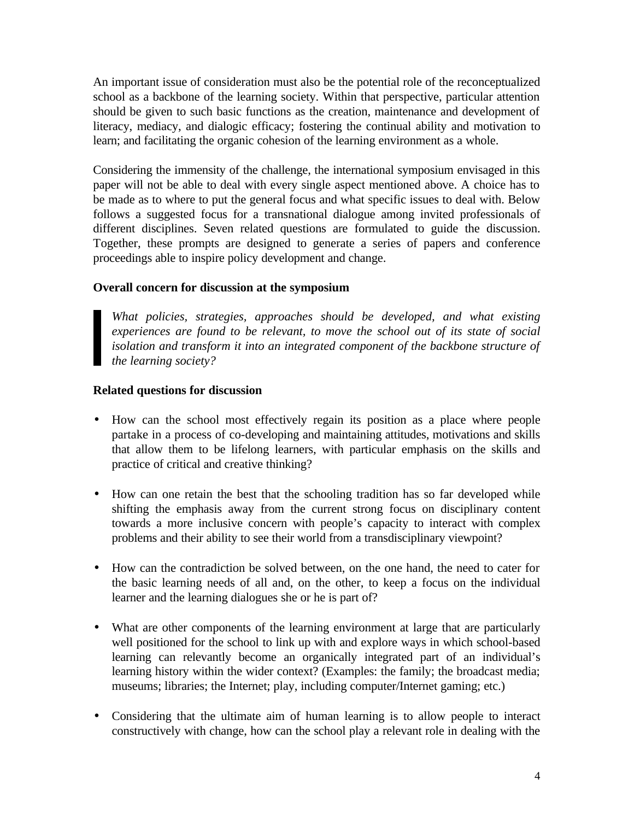An important issue of consideration must also be the potential role of the reconceptualized school as a backbone of the learning society. Within that perspective, particular attention should be given to such basic functions as the creation, maintenance and development of literacy, mediacy, and dialogic efficacy; fostering the continual ability and motivation to learn; and facilitating the organic cohesion of the learning environment as a whole.

Considering the immensity of the challenge, the international symposium envisaged in this paper will not be able to deal with every single aspect mentioned above. A choice has to be made as to where to put the general focus and what specific issues to deal with. Below follows a suggested focus for a transnational dialogue among invited professionals of different disciplines. Seven related questions are formulated to guide the discussion. Together, these prompts are designed to generate a series of papers and conference proceedings able to inspire policy development and change.

## **Overall concern for discussion at the symposium**

*What policies, strategies, approaches should be developed, and what existing experiences are found to be relevant, to move the school out of its state of social isolation and transform it into an integrated component of the backbone structure of the learning society?*

## **Related questions for discussion**

- How can the school most effectively regain its position as a place where people partake in a process of co-developing and maintaining attitudes, motivations and skills that allow them to be lifelong learners, with particular emphasis on the skills and practice of critical and creative thinking?
- How can one retain the best that the schooling tradition has so far developed while shifting the emphasis away from the current strong focus on disciplinary content towards a more inclusive concern with people's capacity to interact with complex problems and their ability to see their world from a transdisciplinary viewpoint?
- How can the contradiction be solved between, on the one hand, the need to cater for the basic learning needs of all and, on the other, to keep a focus on the individual learner and the learning dialogues she or he is part of?
- What are other components of the learning environment at large that are particularly well positioned for the school to link up with and explore ways in which school-based learning can relevantly become an organically integrated part of an individual's learning history within the wider context? (Examples: the family; the broadcast media; museums; libraries; the Internet; play, including computer/Internet gaming; etc.)
- Considering that the ultimate aim of human learning is to allow people to interact constructively with change, how can the school play a relevant role in dealing with the